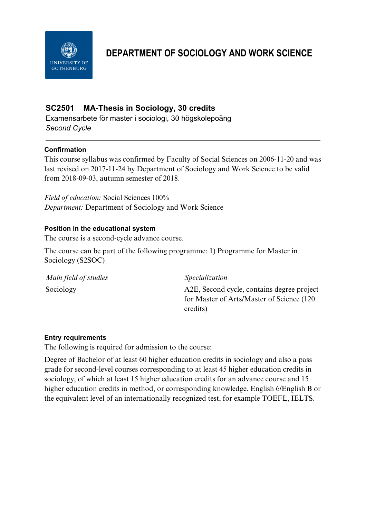

# **DEPARTMENT OF SOCIOLOGY AND WORK SCIENCE**

# **SC2501 MA-Thesis in Sociology, 30 credits**

Examensarbete för master i sociologi, 30 högskolepoäng *Second Cycle*

# **Confirmation**

This course syllabus was confirmed by Faculty of Social Sciences on 2006-11-20 and was last revised on 2017-11-24 by Department of Sociology and Work Science to be valid from 2018-09-03, autumn semester of 2018.

*Field of education:* Social Sciences 100% *Department:* Department of Sociology and Work Science

# **Position in the educational system**

The course is a second-cycle advance course.

The course can be part of the following programme: 1) Programme for Master in Sociology (S2SOC)

| Main field of studies | Specialization                                                                                       |
|-----------------------|------------------------------------------------------------------------------------------------------|
| Sociology             | A2E, Second cycle, contains degree project<br>for Master of Arts/Master of Science (120)<br>credits) |

## **Entry requirements**

The following is required for admission to the course:

Degree of Bachelor of at least 60 higher education credits in sociology and also a pass grade for second-level courses corresponding to at least 45 higher education credits in sociology, of which at least 15 higher education credits for an advance course and 15 higher education credits in method, or corresponding knowledge. English 6/English B or the equivalent level of an internationally recognized test, for example TOEFL, IELTS.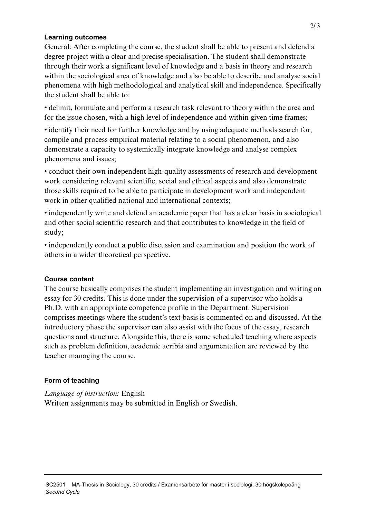## **Learning outcomes**

General: After completing the course, the student shall be able to present and defend a degree project with a clear and precise specialisation. The student shall demonstrate through their work a significant level of knowledge and a basis in theory and research within the sociological area of knowledge and also be able to describe and analyse social phenomena with high methodological and analytical skill and independence. Specifically the student shall be able to:

• delimit, formulate and perform a research task relevant to theory within the area and for the issue chosen, with a high level of independence and within given time frames;

• identify their need for further knowledge and by using adequate methods search for, compile and process empirical material relating to a social phenomenon, and also demonstrate a capacity to systemically integrate knowledge and analyse complex phenomena and issues;

• conduct their own independent high-quality assessments of research and development work considering relevant scientific, social and ethical aspects and also demonstrate those skills required to be able to participate in development work and independent work in other qualified national and international contexts;

• independently write and defend an academic paper that has a clear basis in sociological and other social scientific research and that contributes to knowledge in the field of study;

• independently conduct a public discussion and examination and position the work of others in a wider theoretical perspective.

# **Course content**

The course basically comprises the student implementing an investigation and writing an essay for 30 credits. This is done under the supervision of a supervisor who holds a Ph.D. with an appropriate competence profile in the Department. Supervision comprises meetings where the student's text basis is commented on and discussed. At the introductory phase the supervisor can also assist with the focus of the essay, research questions and structure. Alongside this, there is some scheduled teaching where aspects such as problem definition, academic acribia and argumentation are reviewed by the teacher managing the course.

# **Form of teaching**

*Language of instruction:* English Written assignments may be submitted in English or Swedish.